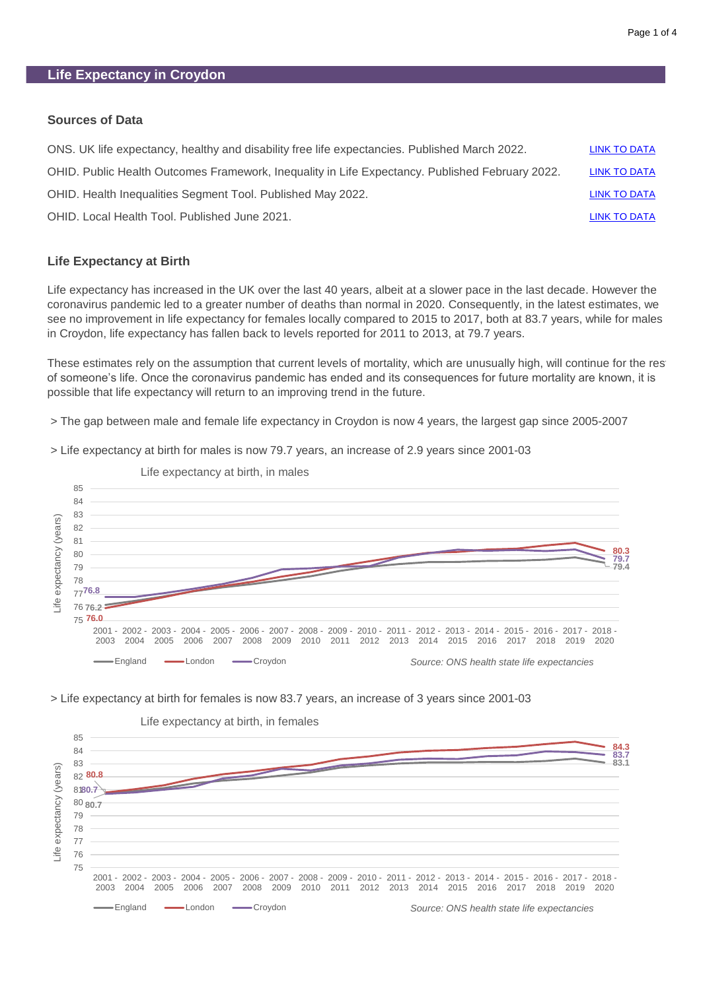### **Sources of Data**

| LINK TO DATA        |
|---------------------|
| <b>LINK TO DATA</b> |
| LINK TO DATA        |
| <b>LINK TO DATA</b> |
|                     |

### **Life Expectancy at Birth**

Life expectancy has increased in the UK over the last 40 years, albeit at a slower pace in the last decade. However the coronavirus pandemic led to a greater number of deaths than normal in 2020. Consequently, in the latest estimates, we see no improvement in life expectancy for females locally compared to 2015 to 2017, both at 83.7 years, while for males in Croydon, life expectancy has fallen back to levels reported for 2011 to 2013, at 79.7 years.

These estimates rely on the assumption that current levels of mortality, which are unusually high, will continue for the rest of someone's life. Once the coronavirus pandemic has ended and its consequences for future mortality are known, it is possible that life expectancy will return to an improving trend in the future.

> The gap between male and female life expectancy in Croydon is now 4 years, the largest gap since 2005-2007

> Life expectancy at birth for males is now 79.7 years, an increase of 2.9 years since 2001-03



Life expectancy at birth, in males

> Life expectancy at birth for females is now 83.7 years, an increase of 3 years since 2001-03

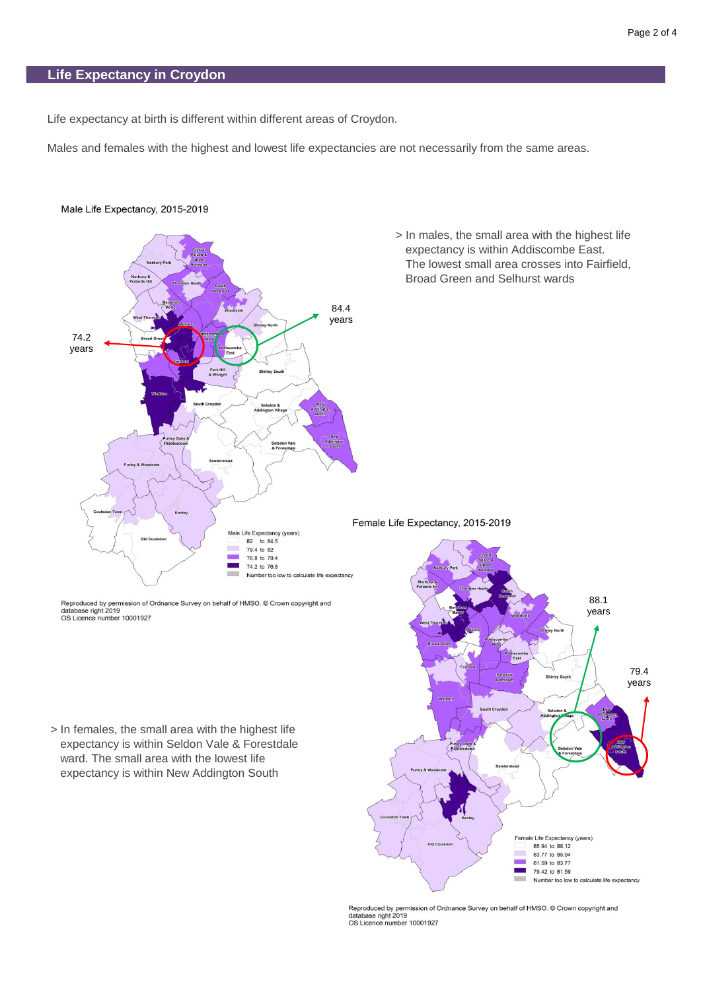Life expectancy at birth is different within different areas of Croydon.

Males and females with the highest and lowest life expectancies are not necessarily from the same areas.



#### Male Life Expectancy, 2015-2019

Reproduced by permission of Ordnance Survey on behalf of HMSO. © Crown copyright and database right 2019<br>OS Licence number 10001927

 > In females, the small area with the highest life expectancy is within Seldon Vale & Forestdale ward. The small area with the lowest life expectancy is within New Addington South



Reproduced by permission of Ordnance Survey on behalf of HMSO. © Crown copyright and<br>database right 2019<br>OS Licence number 10001927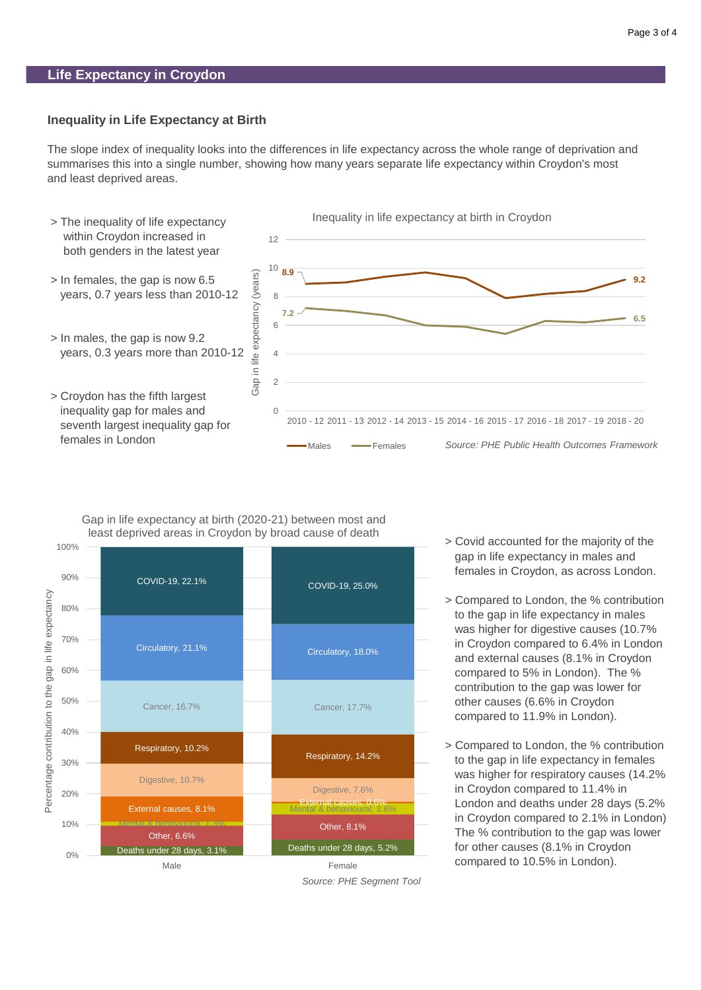### **Inequality in Life Expectancy at Birth**

The slope index of inequality looks into the differences in life expectancy across the whole range of deprivation and summarises this into a single number, showing how many years separate life expectancy within Croydon's most and least deprived areas.





Gap in life expectancy at birth (2020-21) between most and



*Source: PHE Segment Tool*

- > Covid accounted for the majority of the gap in life expectancy in males and females in Croydon, as across London.
- > Compared to London, the % contribution to the gap in life expectancy in males was higher for digestive causes (10.7% in Croydon compared to 6.4% in London and external causes (8.1% in Croydon compared to 5% in London). The % contribution to the gap was lower for other causes (6.6% in Croydon compared to 11.9% in London).
- > Compared to London, the % contribution to the gap in life expectancy in females was higher for respiratory causes (14.2% in Croydon compared to 11.4% in London and deaths under 28 days (5.2% in Croydon compared to 2.1% in London). The % contribution to the gap was lower for other causes (8.1% in Croydon compared to 10.5% in London).